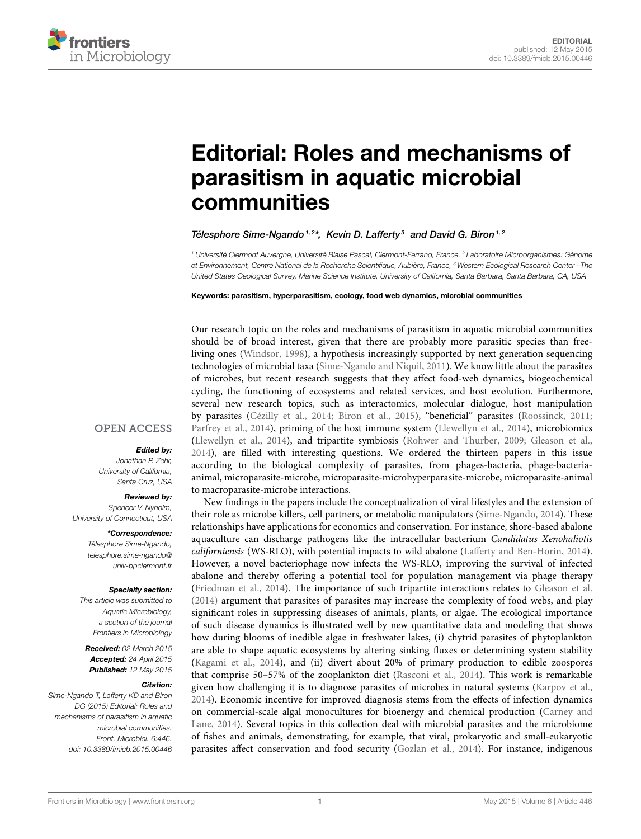

# [Editorial: Roles and mechanisms of](http://journal.frontiersin.org/article/10.3389/fmicb.2015.00446/full) parasitism in aquatic microbial communities

# [Télesphore Sime-Ngando](http://community.frontiersin.org/people/u/39364)<sup>1,2\*</sup>, [Kevin D. Lafferty](http://community.frontiersin.org/people/u/80962)<sup>3</sup> and [David G. Biron](http://community.frontiersin.org/people/u/81582)<sup>1,2</sup>

<sup>1</sup> Université Clermont Auvergne, Université Blaise Pascal, Clermont-Ferrand, France, <sup>2</sup> Laboratoire Microorganismes: Génome et Environnement, Centre National de la Recherche Scientifique, Aubière, France, <sup>3</sup> Western Ecological Research Center –The United States Geological Survey, Marine Science Institute, University of California, Santa Barbara, Santa Barbara, CA, USA

Keywords: parasitism, hyperparasitism, ecology, food web dynamics, microbial communities

Our research topic on the roles and mechanisms of parasitism in aquatic microbial communities should be of broad interest, given that there are probably more parasitic species than freeliving ones [\(Windsor, 1998\)](#page-1-0), a hypothesis increasingly supported by next generation sequencing technologies of microbial taxa [\(Sime-Ngando and Niquil, 2011\)](#page-1-1). We know little about the parasites of microbes, but recent research suggests that they affect food-web dynamics, biogeochemical cycling, the functioning of ecosystems and related services, and host evolution. Furthermore, several new research topics, such as interactomics, molecular dialogue, host manipulation by parasites [\(Cézilly et al., 2014;](#page-1-2) [Biron et al., 2015\)](#page-1-3), "beneficial" parasites [\(Roossinck, 2011;](#page-1-4) [Parfrey et al., 2014\)](#page-1-5), priming of the host immune system [\(Llewellyn et al., 2014\)](#page-1-6), microbiomics [\(Llewellyn et al., 2014\)](#page-1-6), and tripartite symbiosis [\(Rohwer and Thurber, 2009;](#page-1-7) [Gleason et al.,](#page-1-8) [2014\)](#page-1-8), are filled with interesting questions. We ordered the thirteen papers in this issue according to the biological complexity of parasites, from phages-bacteria, phage-bacteriaanimal, microparasite-microbe, microparasite-microhyperparasite-microbe, microparasite-animal to macroparasite-microbe interactions.

New findings in the papers include the conceptualization of viral lifestyles and the extension of their role as microbe killers, cell partners, or metabolic manipulators [\(Sime-Ngando, 2014\)](#page-1-9). These relationships have applications for economics and conservation. For instance, shore-based abalone aquaculture can discharge pathogens like the intracellular bacterium Candidatus Xenohaliotis californiensis (WS-RLO), with potential impacts to wild abalone [\(Lafferty and Ben-Horin, 2014\)](#page-1-10). However, a novel bacteriophage now infects the WS-RLO, improving the survival of infected abalone and thereby offering a potential tool for population management via phage therapy [\(Friedman et al., 2014\)](#page-1-11). The importance of such tripartite interactions relates to [Gleason et al.](#page-1-8) [\(2014\)](#page-1-8) argument that parasites of parasites may increase the complexity of food webs, and play significant roles in suppressing diseases of animals, plants, or algae. The ecological importance of such disease dynamics is illustrated well by new quantitative data and modeling that shows how during blooms of inedible algae in freshwater lakes, (i) chytrid parasites of phytoplankton are able to shape aquatic ecosystems by altering sinking fluxes or determining system stability [\(Kagami et al., 2014\)](#page-1-12), and (ii) divert about 20% of primary production to edible zoospores that comprise 50–57% of the zooplankton diet [\(Rasconi et al., 2014\)](#page-1-13). This work is remarkable given how challenging it is to diagnose parasites of microbes in natural systems [\(Karpov et al.,](#page-1-14) [2014\)](#page-1-14). Economic incentive for improved diagnosis stems from the effects of infection dynamics on commercial-scale algal monocultures for bioenergy and chemical production (Carney and Lane, [2014\)](#page-1-15). Several topics in this collection deal with microbial parasites and the microbiome of fishes and animals, demonstrating, for example, that viral, prokaryotic and small-eukaryotic parasites affect conservation and food security [\(Gozlan et al., 2014\)](#page-1-16). For instance, indigenous

# **OPEN ACCESS**

# Edited by:

Jonathan P. Zehr, University of California, Santa Cruz, USA

#### Reviewed by:

Spencer V. Nyholm, University of Connecticut, USA

#### \*Correspondence:

Télesphore Sime-Ngando, [telesphore.sime-ngando@](mailto:telesphore.sime-ngando@univ-bpclermont.fr) [univ-bpclermont.fr](mailto:telesphore.sime-ngando@univ-bpclermont.fr)

#### Specialty section:

This article was submitted to Aquatic Microbiology, a section of the journal Frontiers in Microbiology

Received: 02 March 2015 Accepted: 24 April 2015 Published: 12 May 2015

### Citation:

Sime-Ngando T, Lafferty KD and Biron DG (2015) Editorial: Roles and mechanisms of parasitism in aquatic microbial communities. Front. Microbiol. 6:446. doi: [10.3389/fmicb.2015.00446](http://dx.doi.org/10.3389/fmicb.2015.00446)